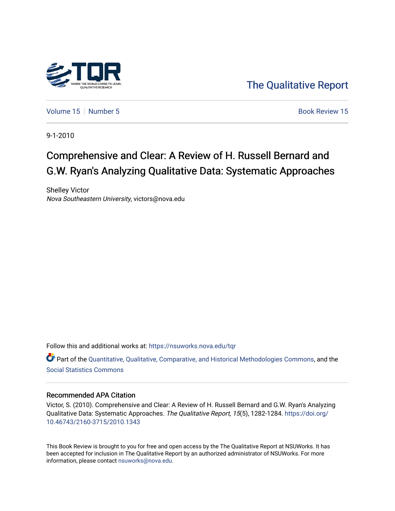

[The Qualitative Report](https://nsuworks.nova.edu/tqr) 

[Volume 15](https://nsuworks.nova.edu/tqr/vol15) [Number 5](https://nsuworks.nova.edu/tqr/vol15/iss5)  $\sim$  Book Review 15

9-1-2010

# Comprehensive and Clear: A Review of H. Russell Bernard and G.W. Ryan's Analyzing Qualitative Data: Systematic Approaches

Shelley Victor Nova Southeastern University, victors@nova.edu

Follow this and additional works at: [https://nsuworks.nova.edu/tqr](https://nsuworks.nova.edu/tqr?utm_source=nsuworks.nova.edu%2Ftqr%2Fvol15%2Fiss5%2F15&utm_medium=PDF&utm_campaign=PDFCoverPages) 

Part of the [Quantitative, Qualitative, Comparative, and Historical Methodologies Commons,](http://network.bepress.com/hgg/discipline/423?utm_source=nsuworks.nova.edu%2Ftqr%2Fvol15%2Fiss5%2F15&utm_medium=PDF&utm_campaign=PDFCoverPages) and the [Social Statistics Commons](http://network.bepress.com/hgg/discipline/1275?utm_source=nsuworks.nova.edu%2Ftqr%2Fvol15%2Fiss5%2F15&utm_medium=PDF&utm_campaign=PDFCoverPages) 

#### Recommended APA Citation

Victor, S. (2010). Comprehensive and Clear: A Review of H. Russell Bernard and G.W. Ryan's Analyzing Qualitative Data: Systematic Approaches. The Qualitative Report, 15(5), 1282-1284. [https://doi.org/](https://doi.org/10.46743/2160-3715/2010.1343) [10.46743/2160-3715/2010.1343](https://doi.org/10.46743/2160-3715/2010.1343)

This Book Review is brought to you for free and open access by the The Qualitative Report at NSUWorks. It has been accepted for inclusion in The Qualitative Report by an authorized administrator of NSUWorks. For more information, please contact [nsuworks@nova.edu.](mailto:nsuworks@nova.edu)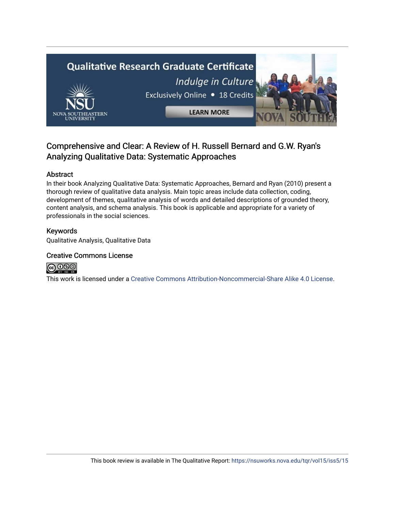

### Comprehensive and Clear: A Review of H. Russell Bernard and G.W. Ryan's Analyzing Qualitative Data: Systematic Approaches

#### Abstract

In their book Analyzing Qualitative Data: Systematic Approaches, Bernard and Ryan (2010) present a thorough review of qualitative data analysis. Main topic areas include data collection, coding, development of themes, qualitative analysis of words and detailed descriptions of grounded theory, content analysis, and schema analysis. This book is applicable and appropriate for a variety of professionals in the social sciences.

#### Keywords

Qualitative Analysis, Qualitative Data

#### Creative Commons License



This work is licensed under a [Creative Commons Attribution-Noncommercial-Share Alike 4.0 License](https://creativecommons.org/licenses/by-nc-sa/4.0/).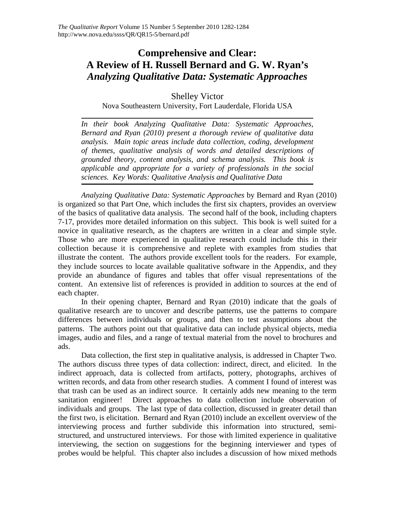## **Comprehensive and Clear: A Review of H. Russell Bernard and G. W. Ryan's**  *Analyzing Qualitative Data: Systematic Approaches*

Shelley Victor Nova Southeastern University, Fort Lauderdale, Florida USA

*In their book Analyzing Qualitative Data: Systematic Approaches, Bernard and Ryan (2010) present a thorough review of qualitative data analysis. Main topic areas include data collection, coding, development of themes, qualitative analysis of words and detailed descriptions of grounded theory, content analysis, and schema analysis. This book is applicable and appropriate for a variety of professionals in the social sciences. Key Words: Qualitative Analysis and Qualitative Data*

*Analyzing Qualitative Data: Systematic Approaches* by Bernard and Ryan (2010) is organized so that Part One, which includes the first six chapters, provides an overview of the basics of qualitative data analysis. The second half of the book, including chapters 7-17, provides more detailed information on this subject. This book is well suited for a novice in qualitative research, as the chapters are written in a clear and simple style. Those who are more experienced in qualitative research could include this in their collection because it is comprehensive and replete with examples from studies that illustrate the content. The authors provide excellent tools for the readers. For example, they include sources to locate available qualitative software in the Appendix, and they provide an abundance of figures and tables that offer visual representations of the content. An extensive list of references is provided in addition to sources at the end of each chapter.

In their opening chapter, Bernard and Ryan (2010) indicate that the goals of qualitative research are to uncover and describe patterns, use the patterns to compare differences between individuals or groups, and then to test assumptions about the patterns. The authors point out that qualitative data can include physical objects, media images, audio and files, and a range of textual material from the novel to brochures and ads.

Data collection, the first step in qualitative analysis, is addressed in Chapter Two. The authors discuss three types of data collection: indirect, direct, and elicited. In the indirect approach, data is collected from artifacts, pottery, photographs, archives of written records, and data from other research studies. A comment I found of interest was that trash can be used as an indirect source. It certainly adds new meaning to the term sanitation engineer! Direct approaches to data collection include observation of individuals and groups. The last type of data collection, discussed in greater detail than the first two, is elicitation. Bernard and Ryan (2010) include an excellent overview of the interviewing process and further subdivide this information into structured, semistructured, and unstructured interviews. For those with limited experience in qualitative interviewing, the section on suggestions for the beginning interviewer and types of probes would be helpful. This chapter also includes a discussion of how mixed methods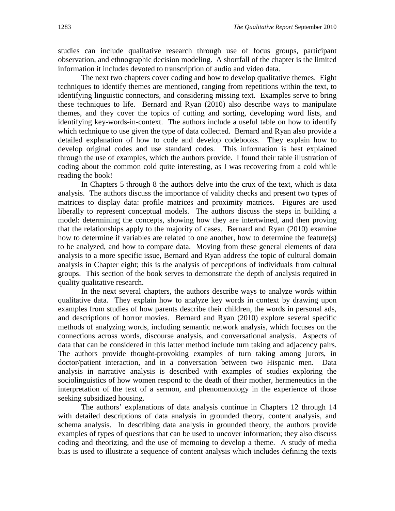studies can include qualitative research through use of focus groups, participant observation, and ethnographic decision modeling. A shortfall of the chapter is the limited information it includes devoted to transcription of audio and video data.

The next two chapters cover coding and how to develop qualitative themes. Eight techniques to identify themes are mentioned, ranging from repetitions within the text, to identifying linguistic connectors, and considering missing text. Examples serve to bring these techniques to life. Bernard and Ryan (2010) also describe ways to manipulate themes, and they cover the topics of cutting and sorting, developing word lists, and identifying key-words-in-context. The authors include a useful table on how to identify which technique to use given the type of data collected. Bernard and Ryan also provide a detailed explanation of how to code and develop codebooks. They explain how to develop original codes and use standard codes. This information is best explained through the use of examples, which the authors provide. I found their table illustration of coding about the common cold quite interesting, as I was recovering from a cold while reading the book!

In Chapters 5 through 8 the authors delve into the crux of the text, which is data analysis. The authors discuss the importance of validity checks and present two types of matrices to display data: profile matrices and proximity matrices. Figures are used liberally to represent conceptual models. The authors discuss the steps in building a model: determining the concepts, showing how they are intertwined, and then proving that the relationships apply to the majority of cases. Bernard and Ryan (2010) examine how to determine if variables are related to one another, how to determine the feature(s) to be analyzed, and how to compare data. Moving from these general elements of data analysis to a more specific issue, Bernard and Ryan address the topic of cultural domain analysis in Chapter eight; this is the analysis of perceptions of individuals from cultural groups. This section of the book serves to demonstrate the depth of analysis required in quality qualitative research.

In the next several chapters, the authors describe ways to analyze words within qualitative data. They explain how to analyze key words in context by drawing upon examples from studies of how parents describe their children, the words in personal ads, and descriptions of horror movies. Bernard and Ryan (2010) explore several specific methods of analyzing words, including semantic network analysis, which focuses on the connections across words, discourse analysis, and conversational analysis. Aspects of data that can be considered in this latter method include turn taking and adjacency pairs. The authors provide thought-provoking examples of turn taking among jurors, in doctor/patient interaction, and in a conversation between two Hispanic men. Data analysis in narrative analysis is described with examples of studies exploring the sociolinguistics of how women respond to the death of their mother, hermeneutics in the interpretation of the text of a sermon, and phenomenology in the experience of those seeking subsidized housing.

The authors' explanations of data analysis continue in Chapters 12 through 14 with detailed descriptions of data analysis in grounded theory, content analysis, and schema analysis. In describing data analysis in grounded theory, the authors provide examples of types of questions that can be used to uncover information; they also discuss coding and theorizing, and the use of memoing to develop a theme. A study of media bias is used to illustrate a sequence of content analysis which includes defining the texts